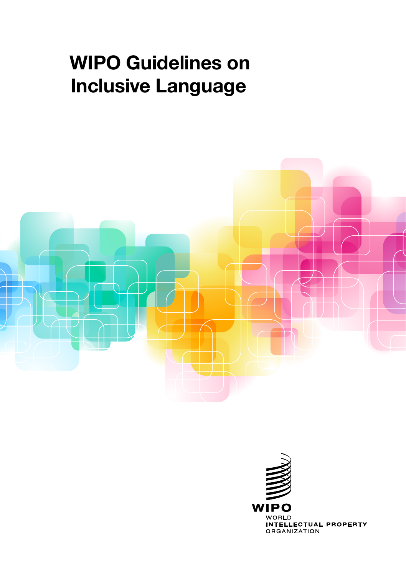### WIPO Guidelines on Inclusive Language



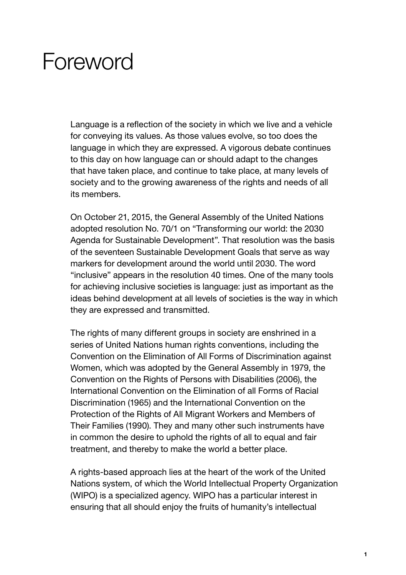# **Foreword**

Language is a reflection of the society in which we live and a vehicle for conveying its values. As those values evolve, so too does the language in which they are expressed. A vigorous debate continues to this day on how language can or should adapt to the changes that have taken place, and continue to take place, at many levels of society and to the growing awareness of the rights and needs of all its members.

On October 21, 2015, the General Assembly of the United Nations adopted resolution No. 70/1 on "Transforming our world: the 2030 Agenda for Sustainable Development". That resolution was the basis of the seventeen Sustainable Development Goals that serve as way markers for development around the world until 2030. The word "inclusive" appears in the resolution 40 times. One of the many tools for achieving inclusive societies is language: just as important as the ideas behind development at all levels of societies is the way in which they are expressed and transmitted.

The rights of many different groups in society are enshrined in a series of United Nations human rights conventions, including the Convention on the Elimination of All Forms of Discrimination against Women, which was adopted by the General Assembly in 1979, the Convention on the Rights of Persons with Disabilities (2006), the International Convention on the Elimination of all Forms of Racial Discrimination (1965) and the International Convention on the Protection of the Rights of All Migrant Workers and Members of Their Families (1990). They and many other such instruments have in common the desire to uphold the rights of all to equal and fair treatment, and thereby to make the world a better place.

A rights-based approach lies at the heart of the work of the United Nations system, of which the World Intellectual Property Organization (WIPO) is a specialized agency. WIPO has a particular interest in ensuring that all should enjoy the fruits of humanity's intellectual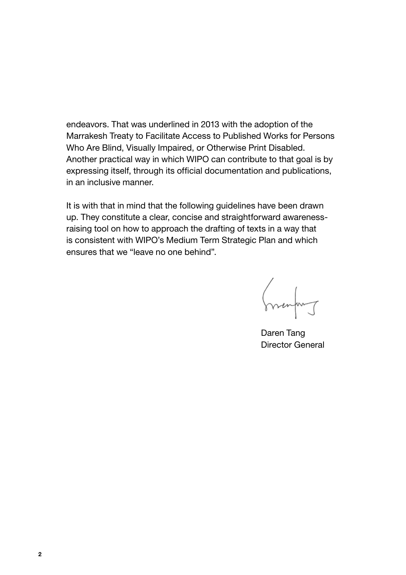endeavors. That was underlined in 2013 with the adoption of the Marrakesh Treaty to Facilitate Access to Published Works for Persons Who Are Blind, Visually Impaired, or Otherwise Print Disabled. Another practical way in which WIPO can contribute to that goal is by expressing itself, through its official documentation and publications, in an inclusive manner.

It is with that in mind that the following guidelines have been drawn up. They constitute a clear, concise and straightforward awarenessraising tool on how to approach the drafting of texts in a way that is consistent with WIPO's Medium Term Strategic Plan and which ensures that we "leave no one behind".

menting

Daren Tang Director General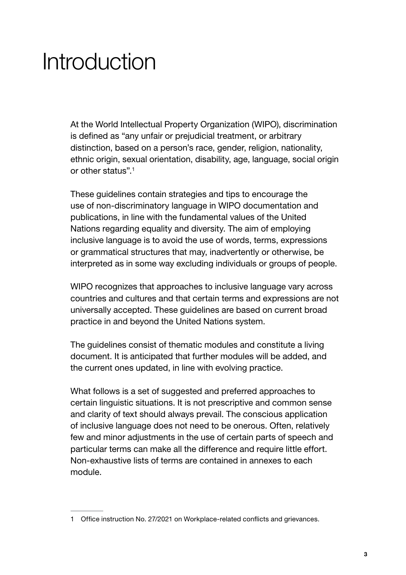# Introduction

At the World Intellectual Property Organization (WIPO), discrimination is defined as "any unfair or prejudicial treatment, or arbitrary distinction, based on a person's race, gender, religion, nationality, ethnic origin, sexual orientation, disability, age, language, social origin or other status"<sup>1</sup>

These guidelines contain strategies and tips to encourage the use of non-discriminatory language in WIPO documentation and publications, in line with the fundamental values of the United Nations regarding equality and diversity. The aim of employing inclusive language is to avoid the use of words, terms, expressions or grammatical structures that may, inadvertently or otherwise, be interpreted as in some way excluding individuals or groups of people.

WIPO recognizes that approaches to inclusive language vary across countries and cultures and that certain terms and expressions are not universally accepted. These guidelines are based on current broad practice in and beyond the United Nations system.

The guidelines consist of thematic modules and constitute a living document. It is anticipated that further modules will be added, and the current ones updated, in line with evolving practice.

What follows is a set of suggested and preferred approaches to certain linguistic situations. It is not prescriptive and common sense and clarity of text should always prevail. The conscious application of inclusive language does not need to be onerous. Often, relatively few and minor adjustments in the use of certain parts of speech and particular terms can make all the difference and require little effort. Non-exhaustive lists of terms are contained in annexes to each module.

<sup>1</sup> Office instruction No. 27/2021 on Workplace-related conflicts and grievances.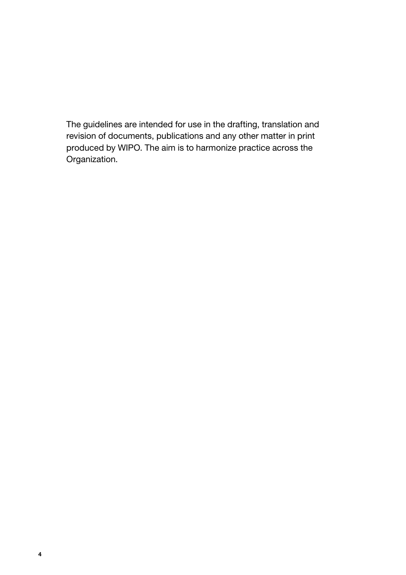The guidelines are intended for use in the drafting, translation and revision of documents, publications and any other matter in print produced by WIPO. The aim is to harmonize practice across the Organization.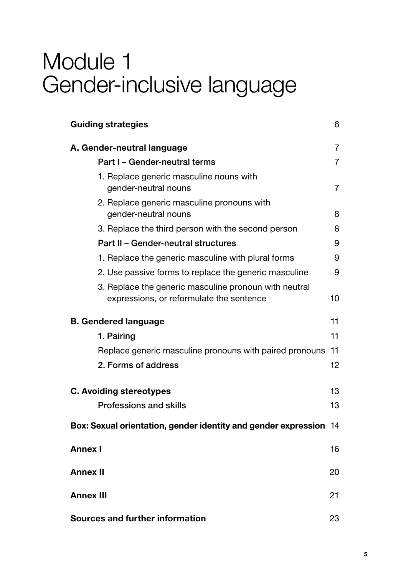# Module 1 Gender-inclusive language

| <b>Guiding strategies</b>                                                                         | 6              |
|---------------------------------------------------------------------------------------------------|----------------|
| A. Gender-neutral language                                                                        | $\overline{7}$ |
| Part I - Gender-neutral terms                                                                     | $\overline{7}$ |
| 1. Replace generic masculine nouns with<br>gender-neutral nouns                                   | 7              |
| 2. Replace generic masculine pronouns with<br>gender-neutral nouns                                | 8              |
| 3. Replace the third person with the second person                                                | 8              |
| Part II - Gender-neutral structures                                                               | 9              |
| 1. Replace the generic masculine with plural forms                                                | 9              |
| 2. Use passive forms to replace the generic masculine                                             | 9              |
| 3. Replace the generic masculine pronoun with neutral<br>expressions, or reformulate the sentence | 10             |
| <b>B. Gendered language</b>                                                                       | 11             |
| 1. Pairing                                                                                        | 11             |
| Replace generic masculine pronouns with paired pronouns                                           | 11             |
| 2. Forms of address                                                                               | 12             |
| <b>C. Avoiding stereotypes</b>                                                                    | 13             |
| Professions and skills                                                                            | 13             |
| Box: Sexual orientation, gender identity and gender expression                                    | 14             |
| Annex I                                                                                           | 16             |
| <b>Annex II</b>                                                                                   | 20             |
| Annex III                                                                                         | 21             |
| Sources and further information                                                                   | 23             |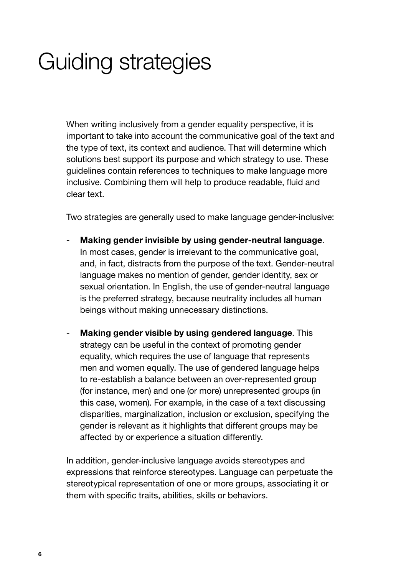# <span id="page-6-0"></span>Guiding strategies

When writing inclusively from a gender equality perspective, it is important to take into account the communicative goal of the text and the type of text, its context and audience. That will determine which solutions best support its purpose and which strategy to use. These guidelines contain references to techniques to make language more inclusive. Combining them will help to produce readable, fluid and clear text.

Two strategies are generally used to make language gender-inclusive:

- Making gender invisible by using gender-neutral language. In most cases, gender is irrelevant to the communicative goal, and, in fact, distracts from the purpose of the text. Gender-neutral language makes no mention of gender, gender identity, sex or sexual orientation. In English, the use of gender-neutral language is the preferred strategy, because neutrality includes all human beings without making unnecessary distinctions.
- Making gender visible by using gendered language. This strategy can be useful in the context of promoting gender equality, which requires the use of language that represents men and women equally. The use of gendered language helps to re-establish a balance between an over-represented group (for instance, men) and one (or more) unrepresented groups (in this case, women). For example, in the case of a text discussing disparities, marginalization, inclusion or exclusion, specifying the gender is relevant as it highlights that different groups may be affected by or experience a situation differently.

In addition, gender-inclusive language avoids stereotypes and expressions that reinforce stereotypes. Language can perpetuate the stereotypical representation of one or more groups, associating it or them with specific traits, abilities, skills or behaviors.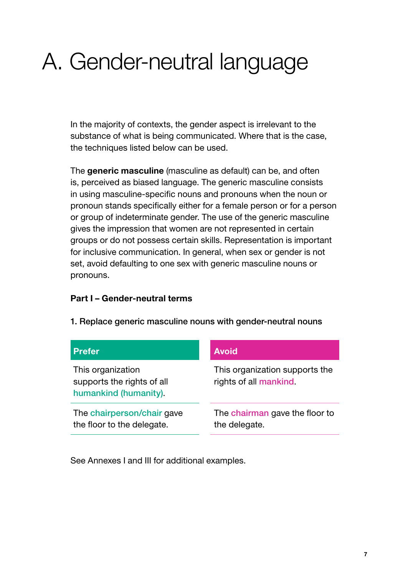# <span id="page-7-0"></span>A. Gender-neutral language

In the majority of contexts, the gender aspect is irrelevant to the substance of what is being communicated. Where that is the case, the techniques listed below can be used.

The generic masculine (masculine as default) can be, and often is, perceived as biased language. The generic masculine consists in using masculine-specific nouns and pronouns when the noun or pronoun stands specifically either for a female person or for a person or group of indeterminate gender. The use of the generic masculine gives the impression that women are not represented in certain groups or do not possess certain skills. Representation is important for inclusive communication. In general, when sex or gender is not set, avoid defaulting to one sex with generic masculine nouns or pronouns.

#### Part I – Gender-neutral terms

| <b>Prefer</b>                                                            | <b>Avoid</b>                                             |
|--------------------------------------------------------------------------|----------------------------------------------------------|
| This organization<br>supports the rights of all<br>humankind (humanity). | This organization supports the<br>rights of all mankind. |
| The chairperson/chair gave<br>the floor to the delegate.                 | The chairman gave the floor to<br>the delegate.          |

1. Replace generic masculine nouns with gender-neutral nouns

See Annexes I and III for additional examples.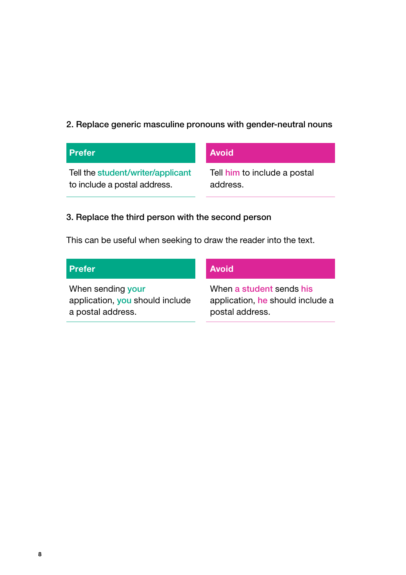### <span id="page-8-0"></span>2. Replace generic masculine pronouns with gender-neutral nouns

| <b>Prefer</b>                     | <b>Avoid</b>                 |
|-----------------------------------|------------------------------|
| Tell the student/writer/applicant | Tell him to include a postal |
| to include a postal address.      | address.                     |

### 3. Replace the third person with the second person

This can be useful when seeking to draw the reader into the text.

| <b>Prefer</b>                   | <b>Avoid</b>                     |
|---------------------------------|----------------------------------|
| When sending your               | When a student sends his         |
| application, you should include | application, he should include a |
| a postal address.               | postal address.                  |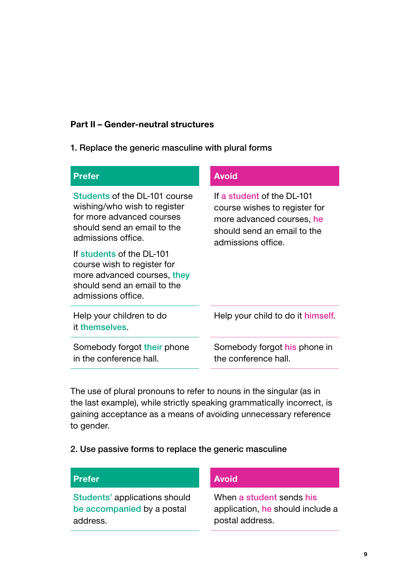#### <span id="page-9-0"></span>Part II – Gender-neutral structures

#### 1. Replace the generic masculine with plural forms

| <b>Prefer</b>                                                                                                                                   | <b>Avoid</b>                                                                                                                                  |
|-------------------------------------------------------------------------------------------------------------------------------------------------|-----------------------------------------------------------------------------------------------------------------------------------------------|
| Students of the DL-101 course<br>wishing/who wish to register<br>for more advanced courses<br>should send an email to the<br>admissions office. | If a student of the DI-101<br>course wishes to register for<br>more advanced courses, he<br>should send an email to the<br>admissions office. |
| If students of the DI-101<br>course wish to register for<br>more advanced courses, they<br>should send an email to the<br>admissions office.    |                                                                                                                                               |
| Help your children to do<br>it themselves.                                                                                                      | Help your child to do it himself.                                                                                                             |
| Somebody forgot their phone<br>in the conference hall.                                                                                          | Somebody forgot his phone in<br>the conference hall.                                                                                          |

The use of plural pronouns to refer to nouns in the singular (as in the last example), while strictly speaking grammatically incorrect, is gaining acceptance as a means of avoiding unnecessary reference to gender.

#### 2. Use passive forms to replace the generic masculine

### Prefer Avoid

Students' applications should be accompanied by a postal address.

When a student sends his application, he should include a postal address.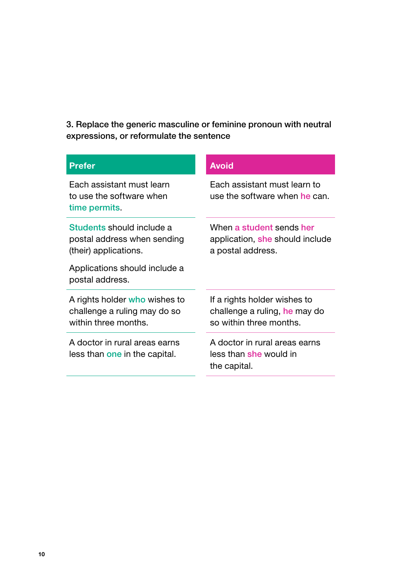<span id="page-10-0"></span>3. Replace the generic masculine or feminine pronoun with neutral expressions, or reformulate the sentence

| <b>Prefer</b>                                                                         | <b>Avoid</b>                                                                             |
|---------------------------------------------------------------------------------------|------------------------------------------------------------------------------------------|
| Fach assistant must learn<br>to use the software when<br>time permits.                | Fach assistant must learn to<br>use the software when he can.                            |
| Students should include a<br>postal address when sending<br>(their) applications.     | When a student sends her<br>application, she should include<br>a postal address.         |
| Applications should include a<br>postal address.                                      |                                                                                          |
| A rights holder who wishes to<br>challenge a ruling may do so<br>within three months. | If a rights holder wishes to<br>challenge a ruling, he may do<br>so within three months. |
| A doctor in rural areas earns<br>less than one in the capital.                        | A doctor in rural areas earns<br>less than she would in<br>the capital.                  |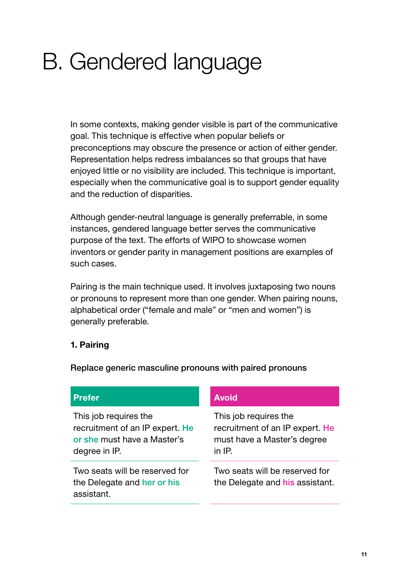# <span id="page-11-0"></span>B. Gendered language

In some contexts, making gender visible is part of the communicative goal. This technique is effective when popular beliefs or preconceptions may obscure the presence or action of either gender. Representation helps redress imbalances so that groups that have enjoyed little or no visibility are included. This technique is important, especially when the communicative goal is to support gender equality and the reduction of disparities.

Although gender-neutral language is generally preferrable, in some instances, gendered language better serves the communicative purpose of the text. The efforts of WIPO to showcase women inventors or gender parity in management positions are examples of such cases.

Pairing is the main technique used. It involves juxtaposing two nouns or pronouns to represent more than one gender. When pairing nouns, alphabetical order ("female and male" or "men and women") is generally preferable.

#### 1. Pairing

Replace generic masculine pronouns with paired pronouns

#### Prefer Avoid

This job requires the recruitment of an IP expert. He or she must have a Master's degree in IP.

Two seats will be reserved for the Delegate and her or his assistant.

This job requires the recruitment of an IP expert. He must have a Master's degree in IP.

Two seats will be reserved for the Delegate and his assistant.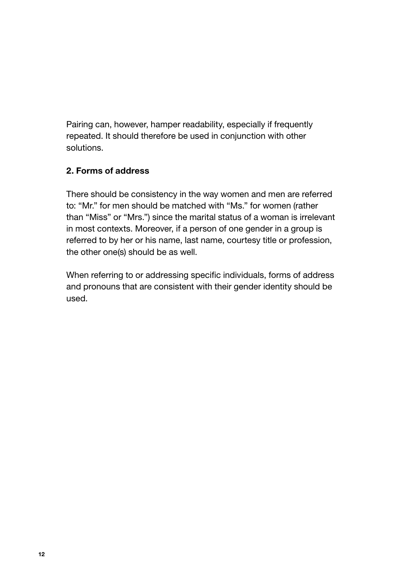<span id="page-12-0"></span>Pairing can, however, hamper readability, especially if frequently repeated. It should therefore be used in conjunction with other solutions.

### 2. Forms of address

There should be consistency in the way women and men are referred to: "Mr." for men should be matched with "Ms." for women (rather than "Miss" or "Mrs.") since the marital status of a woman is irrelevant in most contexts. Moreover, if a person of one gender in a group is referred to by her or his name, last name, courtesy title or profession, the other one(s) should be as well.

When referring to or addressing specific individuals, forms of address and pronouns that are consistent with their gender identity should be used.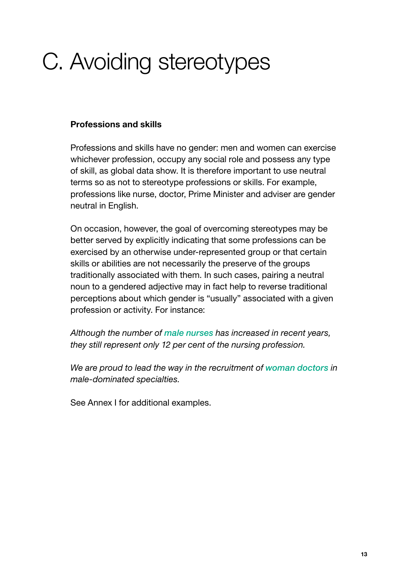# <span id="page-13-0"></span>C. Avoiding stereotypes

#### Professions and skills

Professions and skills have no gender: men and women can exercise whichever profession, occupy any social role and possess any type of skill, as global data show. It is therefore important to use neutral terms so as not to stereotype professions or skills. For example, professions like nurse, doctor, Prime Minister and adviser are gender neutral in English.

On occasion, however, the goal of overcoming stereotypes may be better served by explicitly indicating that some professions can be exercised by an otherwise under-represented group or that certain skills or abilities are not necessarily the preserve of the groups traditionally associated with them. In such cases, pairing a neutral noun to a gendered adjective may in fact help to reverse traditional perceptions about which gender is "usually" associated with a given profession or activity. For instance:

*Although the number of male nurses has increased in recent years, they still represent only 12 per cent of the nursing profession.*

*We are proud to lead the way in the recruitment of woman doctors in male-dominated specialties.* 

See Annex I for additional examples.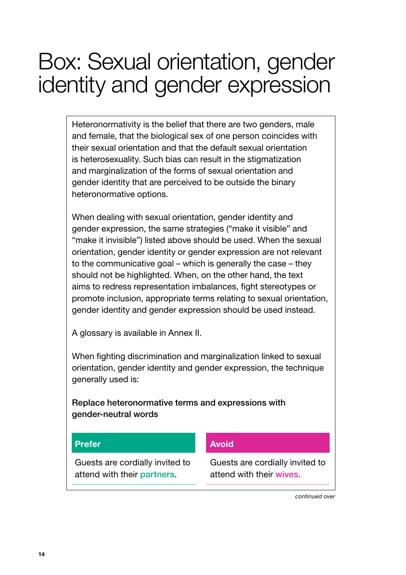# <span id="page-14-0"></span>Box: Sexual orientation, gender identity and gender expression

Heteronormativity is the belief that there are two genders, male and female, that the biological sex of one person coincides with their sexual orientation and that the default sexual orientation is heterosexuality. Such bias can result in the stigmatization and marginalization of the forms of sexual orientation and gender identity that are perceived to be outside the binary heteronormative options.

When dealing with sexual orientation, gender identity and gender expression, the same strategies ("make it visible" and "make it invisible") listed above should be used. When the sexual orientation, gender identity or gender expression are not relevant to the communicative goal – which is generally the case – they should not be highlighted. When, on the other hand, the text aims to redress representation imbalances, fight stereotypes or promote inclusion, appropriate terms relating to sexual orientation, gender identity and gender expression should be used instead.

A glossary is available in Annex II.

When fighting discrimination and marginalization linked to sexual orientation, gender identity and gender expression, the technique generally used is:

Replace heteronormative terms and expressions with gender-neutral words

#### Prefer Avoid

Guests are cordially invited to attend with their partners.

Guests are cordially invited to attend with their wives.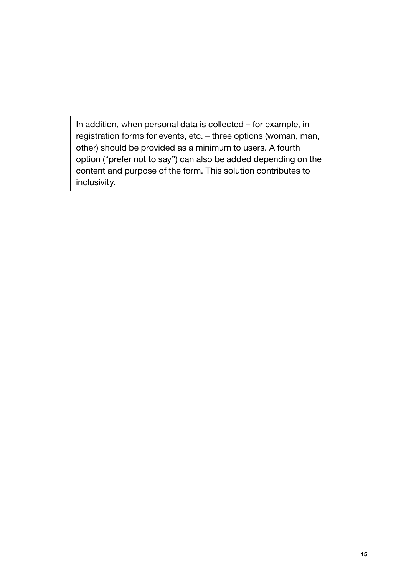In addition, when personal data is collected – for example, in registration forms for events, etc. – three options (woman, man, other) should be provided as a minimum to users. A fourth option ("prefer not to say") can also be added depending on the content and purpose of the form. This solution contributes to inclusivity.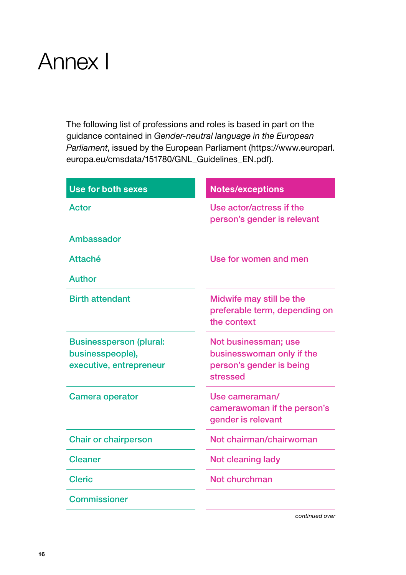# <span id="page-16-0"></span>Annex I

The following list of professions and roles is based in part on the guidance contained in *Gender-neutral language in the European Parliament*, issued by the European Parliament ([https://www.europarl.](https://www.europarl.europa.eu/cmsdata/151780/GNL_Guidelines_EN.pdf)) [europa.eu/cmsdata/151780/GNL\\_Guidelines\\_EN.pdf\).](https://www.europarl.europa.eu/cmsdata/151780/GNL_Guidelines_EN.pdf))

| <b>Use for both sexes</b>                                                     | <b>Notes/exceptions</b>                                                                   |
|-------------------------------------------------------------------------------|-------------------------------------------------------------------------------------------|
| Actor                                                                         | Use actor/actress if the<br>person's gender is relevant                                   |
| Ambassador                                                                    |                                                                                           |
| Attaché                                                                       | Use for women and men                                                                     |
| Author                                                                        |                                                                                           |
| <b>Birth attendant</b>                                                        | Midwife may still be the<br>preferable term, depending on<br>the context                  |
| <b>Businessperson (plural:</b><br>businesspeople),<br>executive, entrepreneur | Not businessman; use<br>businesswoman only if the<br>person's gender is being<br>stressed |
| Camera operator                                                               | Use cameraman/<br>camerawoman if the person's<br>gender is relevant                       |
| <b>Chair or chairperson</b>                                                   | Not chairman/chairwoman                                                                   |
| <b>Cleaner</b>                                                                | Not cleaning lady                                                                         |
| <b>Cleric</b>                                                                 | Not churchman                                                                             |
| Commissioner                                                                  |                                                                                           |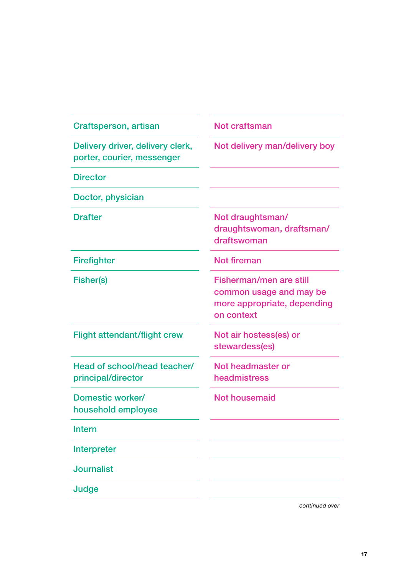| Craftsperson, artisan                                          | Not craftsman                                                                                   |
|----------------------------------------------------------------|-------------------------------------------------------------------------------------------------|
| Delivery driver, delivery clerk,<br>porter, courier, messenger | Not delivery man/delivery boy                                                                   |
| <b>Director</b>                                                |                                                                                                 |
| Doctor, physician                                              |                                                                                                 |
| <b>Drafter</b>                                                 | Not draughtsman/<br>draughtswoman, draftsman/<br>draftswoman                                    |
| Firefighter                                                    | Not fireman                                                                                     |
| Fisher(s)                                                      | Fisherman/men are still<br>common usage and may be<br>more appropriate, depending<br>on context |
| <b>Flight attendant/flight crew</b>                            | Not air hostess(es) or<br>stewardess(es)                                                        |
| Head of school/head teacher/<br>principal/director             | Not headmaster or<br>headmistress                                                               |
| Domestic worker/<br>household employee                         | <b>Not housemaid</b>                                                                            |
| Intern                                                         |                                                                                                 |
| Interpreter                                                    |                                                                                                 |
| Journalist                                                     |                                                                                                 |
| Judge                                                          |                                                                                                 |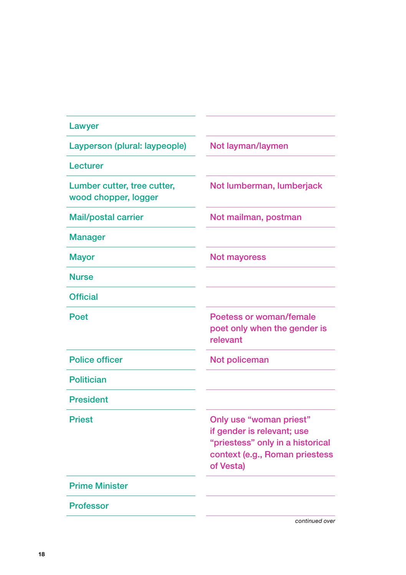| Lawyer                                              |                                                                                                                                          |
|-----------------------------------------------------|------------------------------------------------------------------------------------------------------------------------------------------|
| Layperson (plural: laypeople)                       | Not layman/laymen                                                                                                                        |
| Lecturer                                            |                                                                                                                                          |
| Lumber cutter, tree cutter,<br>wood chopper, logger | Not lumberman, lumberjack                                                                                                                |
| <b>Mail/postal carrier</b>                          | Not mailman, postman                                                                                                                     |
| <b>Manager</b>                                      |                                                                                                                                          |
| <b>Mayor</b>                                        | <b>Not mayoress</b>                                                                                                                      |
| <b>Nurse</b>                                        |                                                                                                                                          |
| <b>Official</b>                                     |                                                                                                                                          |
| Poet                                                | Poetess or woman/female<br>poet only when the gender is<br>relevant                                                                      |
| Police officer                                      | Not policeman                                                                                                                            |
| <b>Politician</b>                                   |                                                                                                                                          |
| <b>President</b>                                    |                                                                                                                                          |
| <b>Priest</b>                                       | Only use "woman priest"<br>if gender is relevant; use<br>"priestess" only in a historical<br>context (e.g., Roman priestess<br>of Vesta) |
| <b>Prime Minister</b>                               |                                                                                                                                          |
| <b>Professor</b>                                    |                                                                                                                                          |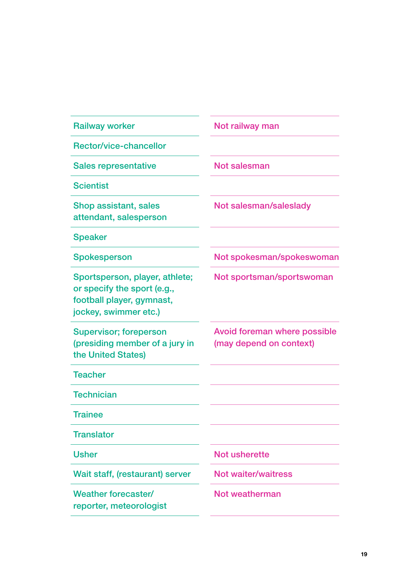| <b>Railway worker</b>                                                                                               | Not railway man                                         |
|---------------------------------------------------------------------------------------------------------------------|---------------------------------------------------------|
| Rector/vice-chancellor                                                                                              |                                                         |
| <b>Sales representative</b>                                                                                         | Not salesman                                            |
| <b>Scientist</b>                                                                                                    |                                                         |
| Shop assistant, sales<br>attendant, salesperson                                                                     | Not salesman/saleslady                                  |
| <b>Speaker</b>                                                                                                      |                                                         |
| Spokesperson                                                                                                        | Not spokesman/spokeswoman                               |
| Sportsperson, player, athlete;<br>or specify the sport (e.g.,<br>football player, gymnast,<br>jockey, swimmer etc.) | Not sportsman/sportswoman                               |
| <b>Supervisor; foreperson</b><br>(presiding member of a jury in<br>the United States)                               | Avoid foreman where possible<br>(may depend on context) |
| <b>Teacher</b>                                                                                                      |                                                         |
| <b>Technician</b>                                                                                                   |                                                         |
| <b>Trainee</b>                                                                                                      |                                                         |
| <b>Translator</b>                                                                                                   |                                                         |
| <b>Usher</b>                                                                                                        | Not usherette                                           |
| Wait staff, (restaurant) server                                                                                     | <b>Not waiter/waitress</b>                              |
| Weather forecaster/<br>reporter, meteorologist                                                                      | Not weatherman                                          |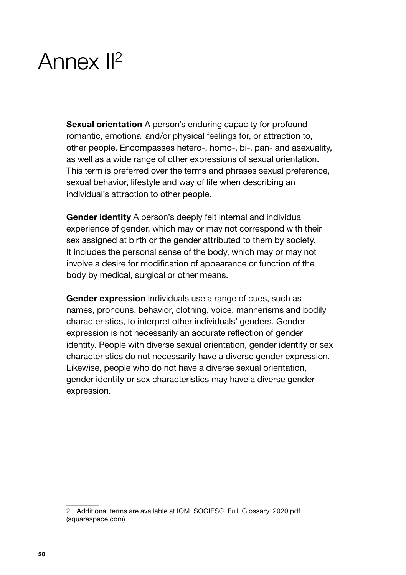# <span id="page-20-0"></span>Annex II2

Sexual orientation A person's enduring capacity for profound romantic, emotional and/or physical feelings for, or attraction to, other people. Encompasses hetero-, homo-, bi-, pan- and asexuality, as well as a wide range of other expressions of sexual orientation. This term is preferred over the terms and phrases sexual preference, sexual behavior, lifestyle and way of life when describing an individual's attraction to other people.

Gender identity A person's deeply felt internal and individual experience of gender, which may or may not correspond with their sex assigned at birth or the gender attributed to them by society. It includes the personal sense of the body, which may or may not involve a desire for modification of appearance or function of the body by medical, surgical or other means.

Gender expression Individuals use a range of cues, such as names, pronouns, behavior, clothing, voice, mannerisms and bodily characteristics, to interpret other individuals' genders. Gender expression is not necessarily an accurate reflection of gender identity. People with diverse sexual orientation, gender identity or sex characteristics do not necessarily have a diverse gender expression. Likewise, people who do not have a diverse sexual orientation, gender identity or sex characteristics may have a diverse gender expression.

<sup>2</sup> Additional terms are available at [IOM\\_SOGIESC\\_Full\\_Glossary\\_2020.pdf](https://static1.squarespace.com/static/5367af22e4b0915380a1eb0a/t/5fcfc9c6a3f9e430eb9406d4/1607453160297/IOM_SOGIESC_Full_Glossary_2020.pdf)  [\(squarespace.com\)](https://static1.squarespace.com/static/5367af22e4b0915380a1eb0a/t/5fcfc9c6a3f9e430eb9406d4/1607453160297/IOM_SOGIESC_Full_Glossary_2020.pdf)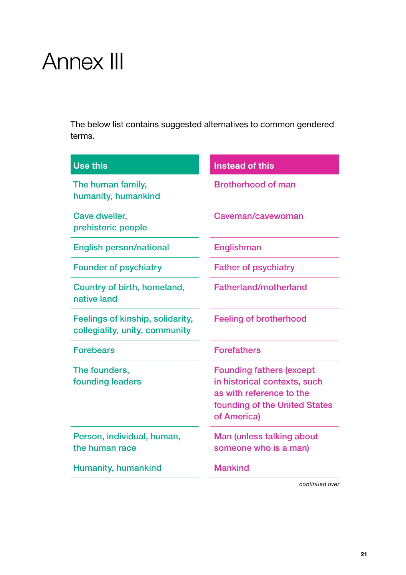# <span id="page-21-0"></span>Annex III

The below list contains suggested alternatives to common gendered terms.

| <b>Use this</b>                                                    | <b>Instead of this</b>                                                                                                                      |
|--------------------------------------------------------------------|---------------------------------------------------------------------------------------------------------------------------------------------|
| The human family,<br>humanity, humankind                           | <b>Brotherhood of man</b>                                                                                                                   |
| Cave dweller,<br>prehistoric people                                | Caveman/cavewoman                                                                                                                           |
| <b>English person/national</b>                                     | Englishman                                                                                                                                  |
| <b>Founder of psychiatry</b>                                       | <b>Father of psychiatry</b>                                                                                                                 |
| Country of birth, homeland,<br>native land                         | <b>Fatherland/motherland</b>                                                                                                                |
| Feelings of kinship, solidarity,<br>collegiality, unity, community | <b>Feeling of brotherhood</b>                                                                                                               |
| <b>Forebears</b>                                                   | <b>Forefathers</b>                                                                                                                          |
| The founders,<br>founding leaders                                  | <b>Founding fathers (except</b><br>in historical contexts, such<br>as with reference to the<br>founding of the United States<br>of America) |
| Person, individual, human,<br>the human race                       | Man (unless talking about<br>someone who is a man)                                                                                          |
| Humanity, humankind                                                | <b>Mankind</b>                                                                                                                              |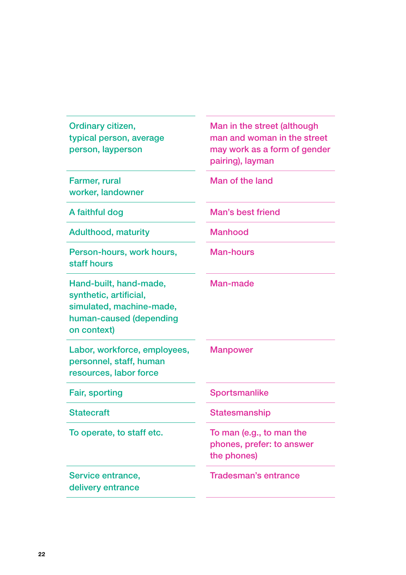| Ordinary citizen,<br>typical person, average<br>person, layperson                                                      | Man in the street (although<br>man and woman in the street<br>may work as a form of gender<br>pairing), layman |
|------------------------------------------------------------------------------------------------------------------------|----------------------------------------------------------------------------------------------------------------|
| Farmer, rural<br>worker, landowner                                                                                     | Man of the land                                                                                                |
| A faithful dog                                                                                                         | Man's best friend                                                                                              |
| <b>Adulthood, maturity</b>                                                                                             | Manhood                                                                                                        |
| Person-hours, work hours,<br>staff hours                                                                               | Man-hours                                                                                                      |
| Hand-built, hand-made,<br>synthetic, artificial,<br>simulated, machine-made,<br>human-caused (depending<br>on context) | Man-made                                                                                                       |
| Labor, workforce, employees,<br>personnel, staff, human<br>resources, labor force                                      | <b>Manpower</b>                                                                                                |
| Fair, sporting                                                                                                         | Sportsmanlike                                                                                                  |
| <b>Statecraft</b>                                                                                                      | Statesmanship                                                                                                  |
| To operate, to staff etc.                                                                                              | To man (e.g., to man the<br>phones, prefer: to answer<br>the phones)                                           |
| Service entrance,<br>delivery entrance                                                                                 | <b>Tradesman's entrance</b>                                                                                    |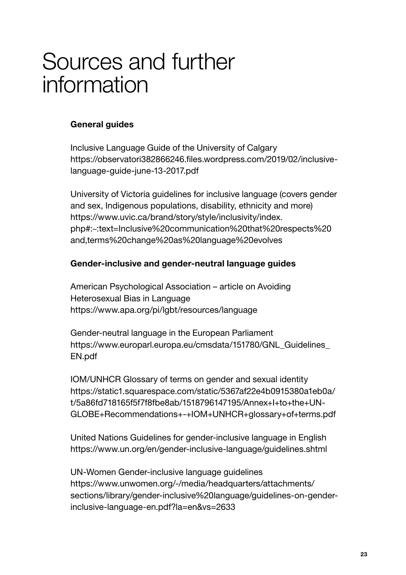# <span id="page-23-0"></span>Sources and further information

#### General guides

Inclusive Language Guide of the University of Calgary [https://observatori382866246.files.wordpress.com/2019/02/inclusive](https://observatori382866246.files.wordpress.com/2019/02/inclusive-language-guide-june-13-2017.pdf)[language-guide-june-13-2017.pdf](https://observatori382866246.files.wordpress.com/2019/02/inclusive-language-guide-june-13-2017.pdf)

University of Victoria guidelines for inclusive language (covers gender and sex, Indigenous populations, disability, ethnicity and more) https://www.uvic.ca/brand/story/style/inclusivity/index. php#:~:text=Inclusive%20communication%20that%20respects%20 and,terms%20change%20as%20language%20evolves

#### Gender-inclusive and gender-neutral language guides

American Psychological Association – article on Avoiding Heterosexual Bias in Language [https://www.apa.org/pi/lgbt/resources/language](https://www.apa.org/pi/lgbt/resources/language ) 

Gender-neutral language in the European Parliament https://www.europarl.europa.eu/cmsdata/151780/GNL\_Guidelines [EN.pdf](https://www.europarl.europa.eu/cmsdata/151780/GNL_Guidelines_EN.pdf)

IOM/UNHCR Glossary of terms on gender and sexual identity [https://static1.squarespace.com/static/5367af22e4b0915380a1eb0a/](https://static1.squarespace.com/static/5367af22e4b0915380a1eb0a/t/5a86fd718165f5f7f8fbe8ab/1518796147195/Annex+I+to+the+UN-GLOBE+Recommendations+-+IOM+UNHCR+glossary+of+terms.pdf) [t/5a86fd718165f5f7f8fbe8ab/1518796147195/Annex+I+to+the+UN-](https://static1.squarespace.com/static/5367af22e4b0915380a1eb0a/t/5a86fd718165f5f7f8fbe8ab/1518796147195/Annex+I+to+the+UN-GLOBE+Recommendations+-+IOM+UNHCR+glossary+of+terms.pdf)[GLOBE+Recommendations+-+IOM+UNHCR+glossary+of+terms.pdf](https://static1.squarespace.com/static/5367af22e4b0915380a1eb0a/t/5a86fd718165f5f7f8fbe8ab/1518796147195/Annex+I+to+the+UN-GLOBE+Recommendations+-+IOM+UNHCR+glossary+of+terms.pdf)

United Nations Guidelines for gender-inclusive language in English <https://www.un.org/en/gender-inclusive-language/guidelines.shtml>

UN-Women Gender-inclusive language guidelines [https://www.unwomen.org/-/media/headquarters/attachments/](https://www.unwomen.org/-/media/headquarters/attachments/sections/library/gender-inclusive%20language/guidelines-on-gender-inclusive-language-en.pdf?la=en&vs=2633) [sections/library/gender-inclusive%20language/guidelines-on-gender](https://www.unwomen.org/-/media/headquarters/attachments/sections/library/gender-inclusive%20language/guidelines-on-gender-inclusive-language-en.pdf?la=en&vs=2633)[inclusive-language-en.pdf?la=en&vs=2633](https://www.unwomen.org/-/media/headquarters/attachments/sections/library/gender-inclusive%20language/guidelines-on-gender-inclusive-language-en.pdf?la=en&vs=2633)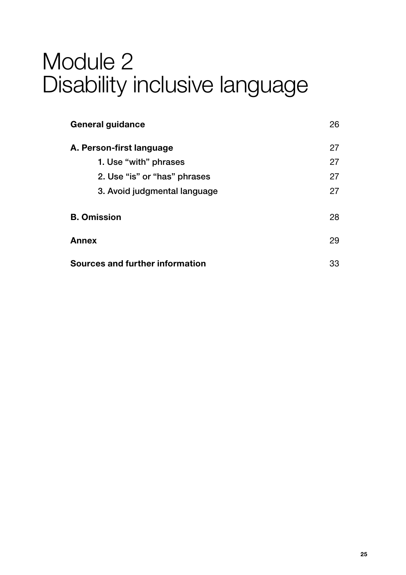# Module 2 Disability inclusive language

| General guidance                | 26 |
|---------------------------------|----|
| A. Person-first language        | 27 |
| 1. Use "with" phrases           | 27 |
| 2. Use "is" or "has" phrases    | 27 |
| 3. Avoid judgmental language    | 27 |
| <b>B.</b> Omission              | 28 |
| Annex                           | 29 |
| Sources and further information | 33 |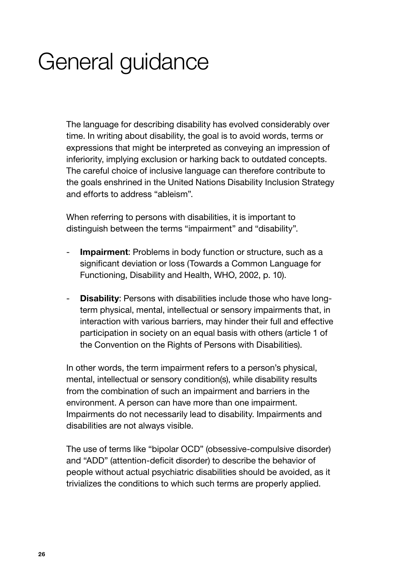# <span id="page-26-0"></span>General guidance

The language for describing disability has evolved considerably over time. In writing about disability, the goal is to avoid words, terms or expressions that might be interpreted as conveying an impression of inferiority, implying exclusion or harking back to outdated concepts. The careful choice of inclusive language can therefore contribute to the goals enshrined in the United Nations Disability Inclusion Strategy and efforts to address "ableism".

When referring to persons with disabilities, it is important to distinguish between the terms "impairment" and "disability".

- Impairment: Problems in body function or structure, such as a significant deviation or loss (Towards a Common Language for Functioning, Disability and Health, WHO, 2002, p. 10).
- **Disability:** Persons with disabilities include those who have longterm physical, mental, intellectual or sensory impairments that, in interaction with various barriers, may hinder their full and effective participation in society on an equal basis with others (article 1 of the Convention on the Rights of Persons with Disabilities).

In other words, the term impairment refers to a person's physical, mental, intellectual or sensory condition(s), while disability results from the combination of such an impairment and barriers in the environment. A person can have more than one impairment. Impairments do not necessarily lead to disability. Impairments and disabilities are not always visible.

The use of terms like "bipolar OCD" (obsessive-compulsive disorder) and "ADD" (attention-deficit disorder) to describe the behavior of people without actual psychiatric disabilities should be avoided, as it trivializes the conditions to which such terms are properly applied.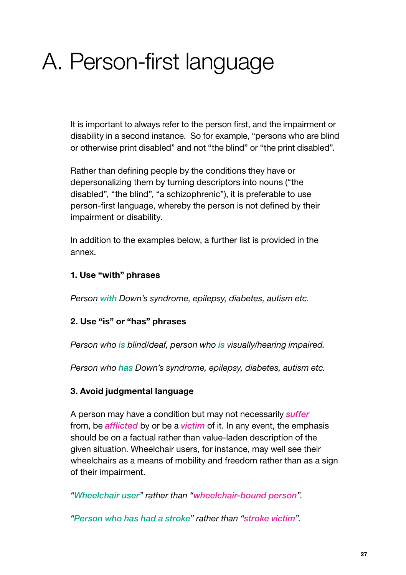# <span id="page-27-0"></span>A. Person-first language

It is important to always refer to the person first, and the impairment or disability in a second instance. So for example, "persons who are blind or otherwise print disabled" and not "the blind" or "the print disabled".

Rather than defining people by the conditions they have or depersonalizing them by turning descriptors into nouns ("the disabled", "the blind", "a schizophrenic"), it is preferable to use person-first language, whereby the person is not defined by their impairment or disability.

In addition to the examples below, a further list is provided in the annex.

#### 1. Use "with" phrases

*Person with Down's syndrome, epilepsy, diabetes, autism etc.*

#### 2. Use "is" or "has" phrases

*Person who is blind/deaf, person who is visually/hearing impaired.*

*Person who has Down's syndrome, epilepsy, diabetes, autism etc.*

#### 3. Avoid judgmental language

A person may have a condition but may not necessarily *suffer* from, be *afflicted* by or be a *victim* of it. In any event, the emphasis should be on a factual rather than value-laden description of the given situation. Wheelchair users, for instance, may well see their wheelchairs as a means of mobility and freedom rather than as a sign of their impairment.

*"Wheelchair user" rather than "wheelchair-bound person".*

*"Person who has had a stroke" rather than "stroke victim".*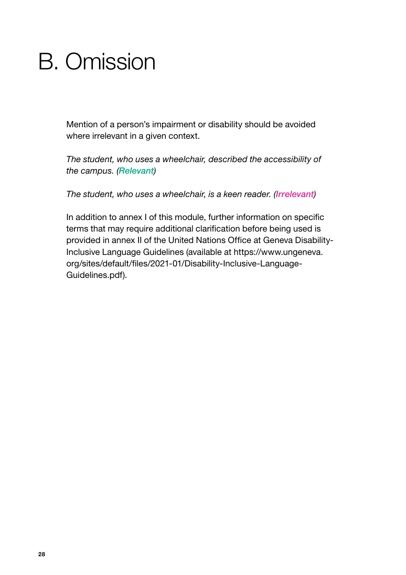# <span id="page-28-0"></span>B. Omission

Mention of a person's impairment or disability should be avoided where irrelevant in a given context.

*The student, who uses a wheelchair, described the accessibility of the campus. (Relevant)*

*The student, who uses a wheelchair, is a keen reader. (Irrelevant)*

In addition to annex I of this module, further information on specific terms that may require additional clarification before being used is provided in annex II of the United Nations Office at Geneva Disability-Inclusive Language Guidelines (available at [https://www.ungeneva.](https://www.ungeneva.org/sites/default/files/2021-01/Disability-Inclusive-Language-Guidelines.pdf) [org/sites/default/files/2021-01/Disability-Inclusive-Language-](https://www.ungeneva.org/sites/default/files/2021-01/Disability-Inclusive-Language-Guidelines.pdf)[Guidelines.pdf\)](https://www.ungeneva.org/sites/default/files/2021-01/Disability-Inclusive-Language-Guidelines.pdf).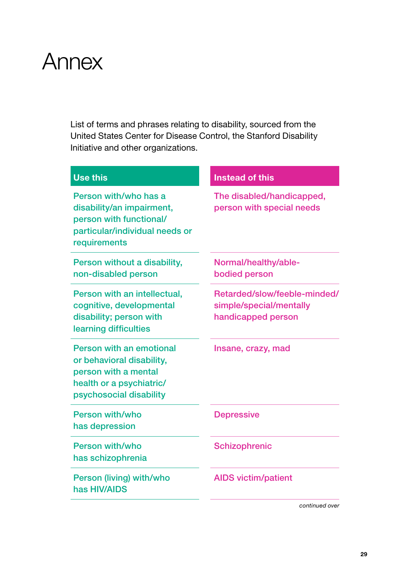# <span id="page-29-0"></span>Annex

List of terms and phrases relating to disability, sourced from the United States Center for Disease Control, the Stanford Disability Initiative and other organizations.

| <b>Use this</b>                                                                                                                      | <b>Instead of this</b>                                                        |
|--------------------------------------------------------------------------------------------------------------------------------------|-------------------------------------------------------------------------------|
| Person with/who has a<br>disability/an impairment,<br>person with functional/<br>particular/individual needs or<br>requirements      | The disabled/handicapped,<br>person with special needs                        |
| Person without a disability,<br>non-disabled person                                                                                  | Normal/healthy/able-<br>bodied person                                         |
| Person with an intellectual,<br>cognitive, developmental<br>disability; person with<br>learning difficulties                         | Retarded/slow/feeble-minded/<br>simple/special/mentally<br>handicapped person |
| Person with an emotional<br>or behavioral disability,<br>person with a mental<br>health or a psychiatric/<br>psychosocial disability | Insane, crazy, mad                                                            |
| Person with/who<br>has depression                                                                                                    | <b>Depressive</b>                                                             |
| Person with/who<br>has schizophrenia                                                                                                 | Schizophrenic                                                                 |
| Person (living) with/who<br>has HIV/AIDS                                                                                             | <b>AIDS</b> victim/patient                                                    |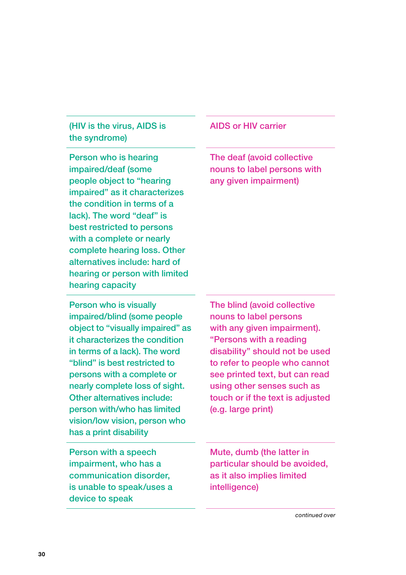### (HIV is the virus, AIDS is the syndrome)

Person who is hearing impaired/deaf (some people object to "hearing impaired" as it characterizes the condition in terms of a lack). The word "deaf" is best restricted to persons with a complete or nearly complete hearing loss. Other alternatives include: hard of hearing or person with limited hearing capacity

Person who is visually impaired/blind (some people object to "visually impaired" as it characterizes the condition in terms of a lack). The word "blind" is best restricted to persons with a complete or nearly complete loss of sight. Other alternatives include: person with/who has limited vision/low vision, person who has a print disability

Person with a speech impairment, who has a communication disorder, is unable to speak/uses a device to speak

#### AIDS or HIV carrier

The deaf (avoid collective nouns to label persons with any given impairment)

The blind (avoid collective nouns to label persons with any given impairment). "Persons with a reading disability" should not be used to refer to people who cannot see printed text, but can read using other senses such as touch or if the text is adjusted (e.g. large print)

Mute, dumb (the latter in particular should be avoided, as it also implies limited intelligence)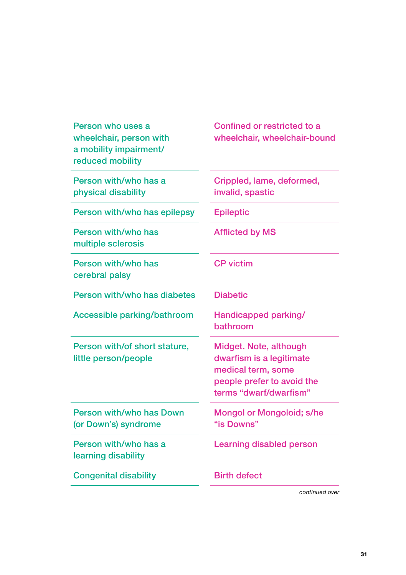| Person who uses a<br>wheelchair, person with<br>a mobility impairment/<br>reduced mobility | Confined or restricted to a<br>wheelchair, wheelchair-bound                                                                      |
|--------------------------------------------------------------------------------------------|----------------------------------------------------------------------------------------------------------------------------------|
| Person with/who has a<br>physical disability                                               | Crippled, lame, deformed,<br>invalid, spastic                                                                                    |
| Person with/who has epilepsy                                                               | <b>Epileptic</b>                                                                                                                 |
| Person with/who has<br>multiple sclerosis                                                  | <b>Afflicted by MS</b>                                                                                                           |
| Person with/who has<br>cerebral palsy                                                      | <b>CP</b> victim                                                                                                                 |
| Person with/who has diabetes                                                               | <b>Diabetic</b>                                                                                                                  |
| <b>Accessible parking/bathroom</b>                                                         | Handicapped parking/<br><b>bathroom</b>                                                                                          |
| Person with/of short stature,<br>little person/people                                      | Midget. Note, although<br>dwarfism is a legitimate<br>medical term, some<br>people prefer to avoid the<br>terms "dwarf/dwarfism" |
| Person with/who has Down<br>(or Down's) syndrome                                           | Mongol or Mongoloid; s/he<br>"is Downs"                                                                                          |
| Person with/who has a<br>learning disability                                               | <b>Learning disabled person</b>                                                                                                  |
| <b>Congenital disability</b>                                                               | <b>Birth defect</b>                                                                                                              |

У.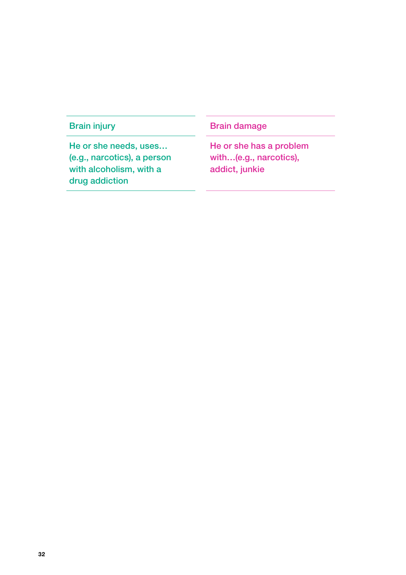He or she needs, uses… (e.g., narcotics), a person with alcoholism, with a drug addiction

### Brain injury **Brain damage**

He or she has a problem with…(e.g., narcotics), addict, junkie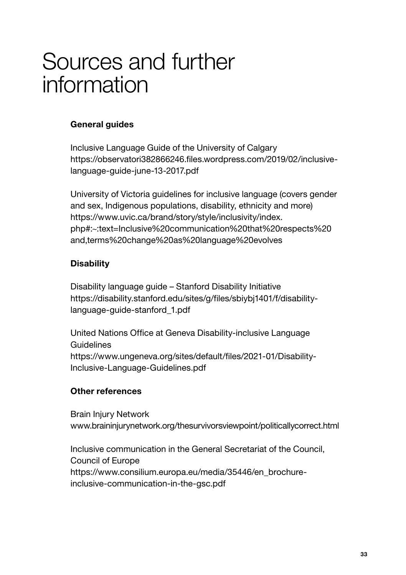# <span id="page-33-0"></span>Sources and further information

### General guides

Inclusive Language Guide of the University of Calgary [https://observatori382866246.files.wordpress.com/2019/02/inclusive](https://observatori382866246.files.wordpress.com/2019/02/inclusive-language-guide-june-13-2017.pdf)[language-guide-june-13-2017.pdf](https://observatori382866246.files.wordpress.com/2019/02/inclusive-language-guide-june-13-2017.pdf)

University of Victoria guidelines for inclusive language (covers gender and sex, Indigenous populations, disability, ethnicity and more) https://www.uvic.ca/brand/story/style/inclusivity/index. php#:~:text=Inclusive%20communication%20that%20respects%20 and,terms%20change%20as%20language%20evolves

### **Disability**

Disability language guide – Stanford Disability Initiative [https://disability.stanford.edu/sites/g/files/sbiybj1401/f/disability](https://disability.stanford.edu/sites/g/files/sbiybj1401/f/disability-language-guide-stanford_1.pdf)[language-guide-stanford\\_1.pdf](https://disability.stanford.edu/sites/g/files/sbiybj1401/f/disability-language-guide-stanford_1.pdf)

United Nations Office at Geneva Disability-inclusive Language Guidelines [https://www.ungeneva.org/sites/default/files/2021-01/Disability-](https://www.ungeneva.org/sites/default/files/2021-01/Disability-Inclusive-Language-Guidelines.pdf)[Inclusive-Language-Guidelines.pdf](https://www.ungeneva.org/sites/default/files/2021-01/Disability-Inclusive-Language-Guidelines.pdf)

#### Other references

Brain Injury Network [www.braininjurynetwork.org/thesurvivorsviewpoint/politicallycorrect.html](http://www.braininjurynetwork.org/thesurvivorsviewpoint/politicallycorrect.html)

Inclusive communication in the General Secretariat of the Council, Council of Europe [https://www.consilium.europa.eu/media/35446/en\\_brochure](https://www.consilium.europa.eu/media/35446/en_brochure-inclusive-communication-in-the-gsc.pdf)[inclusive-communication-in-the-gsc.pdf](https://www.consilium.europa.eu/media/35446/en_brochure-inclusive-communication-in-the-gsc.pdf)